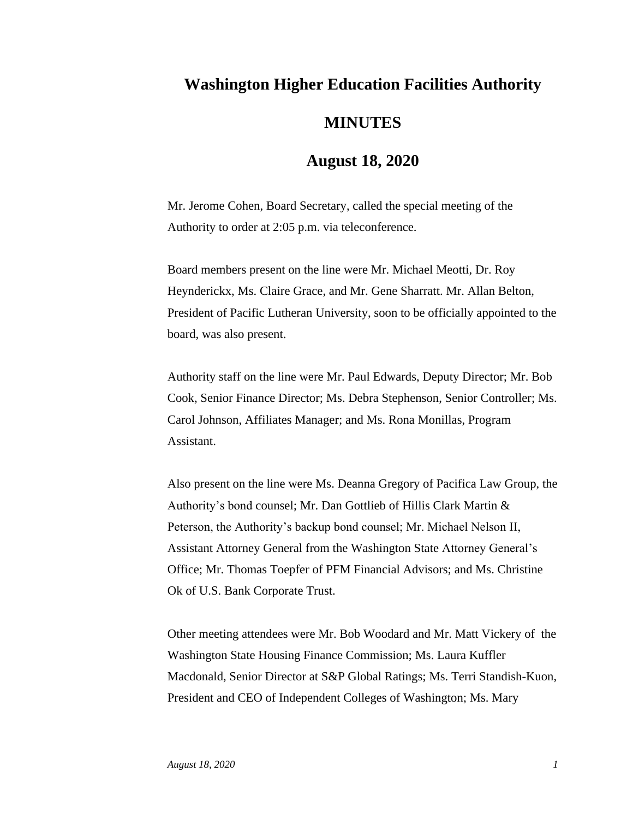## **Washington Higher Education Facilities Authority MINUTES**

## **August 18, 2020**

Mr. Jerome Cohen, Board Secretary, called the special meeting of the Authority to order at 2:05 p.m. via teleconference.

Board members present on the line were Mr. Michael Meotti, Dr. Roy Heynderickx, Ms. Claire Grace, and Mr. Gene Sharratt. Mr. Allan Belton, President of Pacific Lutheran University, soon to be officially appointed to the board, was also present.

Authority staff on the line were Mr. Paul Edwards, Deputy Director; Mr. Bob Cook, Senior Finance Director; Ms. Debra Stephenson, Senior Controller; Ms. Carol Johnson, Affiliates Manager; and Ms. Rona Monillas, Program Assistant.

Also present on the line were Ms. Deanna Gregory of Pacifica Law Group, the Authority's bond counsel; Mr. Dan Gottlieb of Hillis Clark Martin & Peterson, the Authority's backup bond counsel; Mr. Michael Nelson II, Assistant Attorney General from the Washington State Attorney General's Office; Mr. Thomas Toepfer of PFM Financial Advisors; and Ms. Christine Ok of U.S. Bank Corporate Trust.

Other meeting attendees were Mr. Bob Woodard and Mr. Matt Vickery of the Washington State Housing Finance Commission; Ms. Laura Kuffler Macdonald, Senior Director at S&P Global Ratings; Ms. Terri Standish-Kuon, President and CEO of Independent Colleges of Washington; Ms. Mary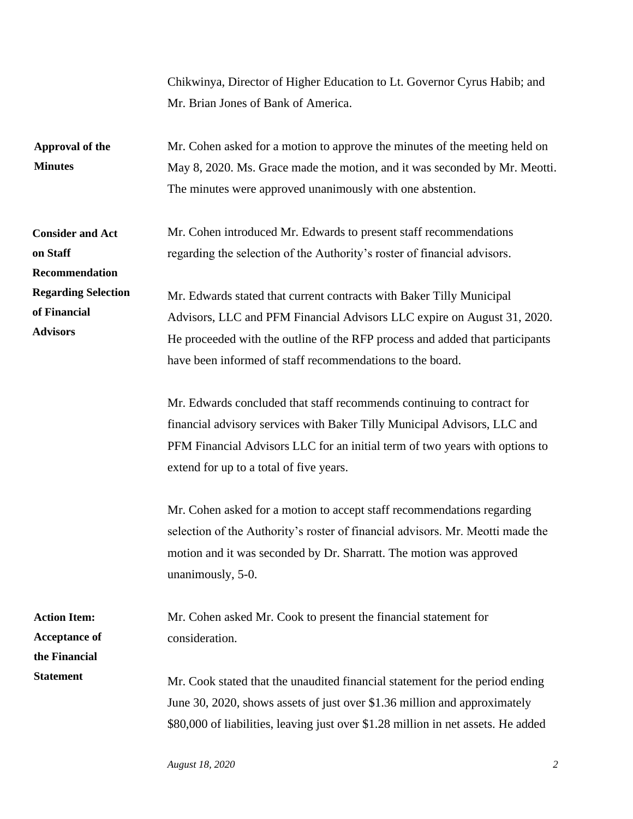|                                                               | Chikwinya, Director of Higher Education to Lt. Governor Cyrus Habib; and<br>Mr. Brian Jones of Bank of America.                                                                                                                                                                              |
|---------------------------------------------------------------|----------------------------------------------------------------------------------------------------------------------------------------------------------------------------------------------------------------------------------------------------------------------------------------------|
| Approval of the<br><b>Minutes</b>                             | Mr. Cohen asked for a motion to approve the minutes of the meeting held on<br>May 8, 2020. Ms. Grace made the motion, and it was seconded by Mr. Meotti.<br>The minutes were approved unanimously with one abstention.                                                                       |
| <b>Consider and Act</b><br>on Staff<br>Recommendation         | Mr. Cohen introduced Mr. Edwards to present staff recommendations<br>regarding the selection of the Authority's roster of financial advisors.                                                                                                                                                |
| <b>Regarding Selection</b><br>of Financial<br><b>Advisors</b> | Mr. Edwards stated that current contracts with Baker Tilly Municipal<br>Advisors, LLC and PFM Financial Advisors LLC expire on August 31, 2020.<br>He proceeded with the outline of the RFP process and added that participants<br>have been informed of staff recommendations to the board. |
|                                                               | Mr. Edwards concluded that staff recommends continuing to contract for<br>financial advisory services with Baker Tilly Municipal Advisors, LLC and<br>PFM Financial Advisors LLC for an initial term of two years with options to<br>extend for up to a total of five years.                 |
|                                                               | Mr. Cohen asked for a motion to accept staff recommendations regarding<br>selection of the Authority's roster of financial advisors. Mr. Meotti made the<br>motion and it was seconded by Dr. Sharratt. The motion was approved<br>unanimously, 5-0.                                         |
| <b>Action Item:</b><br><b>Acceptance of</b><br>the Financial  | Mr. Cohen asked Mr. Cook to present the financial statement for<br>consideration.                                                                                                                                                                                                            |
| <b>Statement</b>                                              | Mr. Cook stated that the unaudited financial statement for the period ending<br>June 30, 2020, shows assets of just over \$1.36 million and approximately<br>\$80,000 of liabilities, leaving just over \$1.28 million in net assets. He added                                               |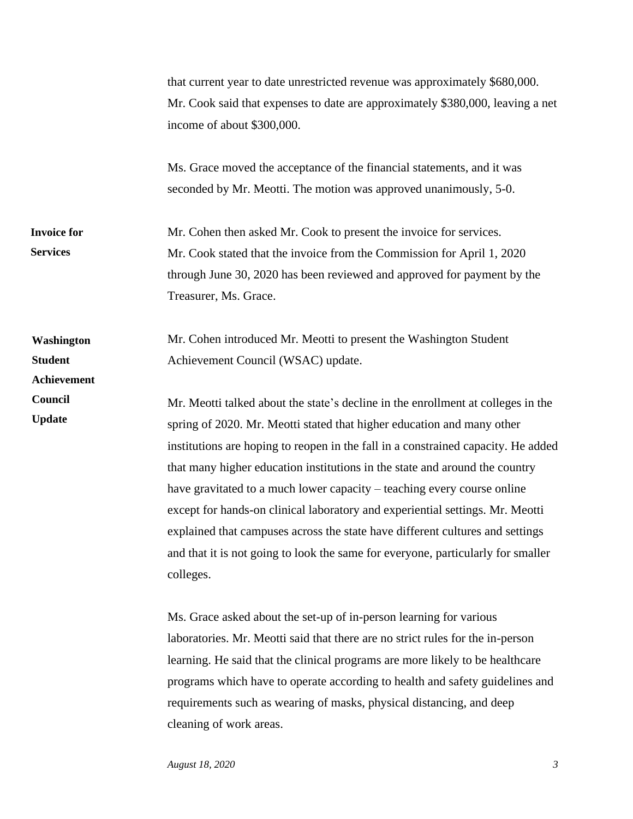that current year to date unrestricted revenue was approximately \$680,000. Mr. Cook said that expenses to date are approximately \$380,000, leaving a net income of about \$300,000. Ms. Grace moved the acceptance of the financial statements, and it was seconded by Mr. Meotti. The motion was approved unanimously, 5-0. Mr. Cohen then asked Mr. Cook to present the invoice for services. Mr. Cook stated that the invoice from the Commission for April 1, 2020 through June 30, 2020 has been reviewed and approved for payment by the Treasurer, Ms. Grace. Mr. Cohen introduced Mr. Meotti to present the Washington Student Achievement Council (WSAC) update. Mr. Meotti talked about the state's decline in the enrollment at colleges in the spring of 2020. Mr. Meotti stated that higher education and many other institutions are hoping to reopen in the fall in a constrained capacity. He added that many higher education institutions in the state and around the country have gravitated to a much lower capacity – teaching every course online except for hands-on clinical laboratory and experiential settings. Mr. Meotti explained that campuses across the state have different cultures and settings and that it is not going to look the same for everyone, particularly for smaller colleges. Ms. Grace asked about the set-up of in-person learning for various laboratories. Mr. Meotti said that there are no strict rules for the in-person learning. He said that the clinical programs are more likely to be healthcare programs which have to operate according to health and safety guidelines and requirements such as wearing of masks, physical distancing, and deep **Invoice for Services Washington Student Achievement Council Update**

cleaning of work areas.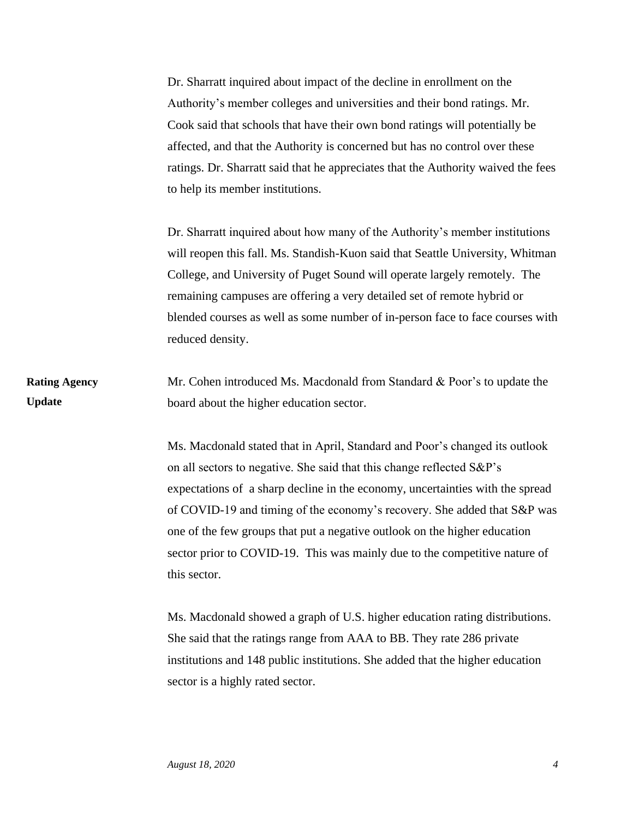Dr. Sharratt inquired about impact of the decline in enrollment on the Authority's member colleges and universities and their bond ratings. Mr. Cook said that schools that have their own bond ratings will potentially be affected, and that the Authority is concerned but has no control over these ratings. Dr. Sharratt said that he appreciates that the Authority waived the fees to help its member institutions.

Dr. Sharratt inquired about how many of the Authority's member institutions will reopen this fall. Ms. Standish-Kuon said that Seattle University, Whitman College, and University of Puget Sound will operate largely remotely. The remaining campuses are offering a very detailed set of remote hybrid or blended courses as well as some number of in-person face to face courses with reduced density.

Mr. Cohen introduced Ms. Macdonald from Standard & Poor's to update the board about the higher education sector. **Rating Agency Update**

> Ms. Macdonald stated that in April, Standard and Poor's changed its outlook on all sectors to negative. She said that this change reflected S&P's expectations of a sharp decline in the economy, uncertainties with the spread of COVID-19 and timing of the economy's recovery. She added that S&P was one of the few groups that put a negative outlook on the higher education sector prior to COVID-19. This was mainly due to the competitive nature of this sector.

Ms. Macdonald showed a graph of U.S. higher education rating distributions. She said that the ratings range from AAA to BB. They rate 286 private institutions and 148 public institutions. She added that the higher education sector is a highly rated sector.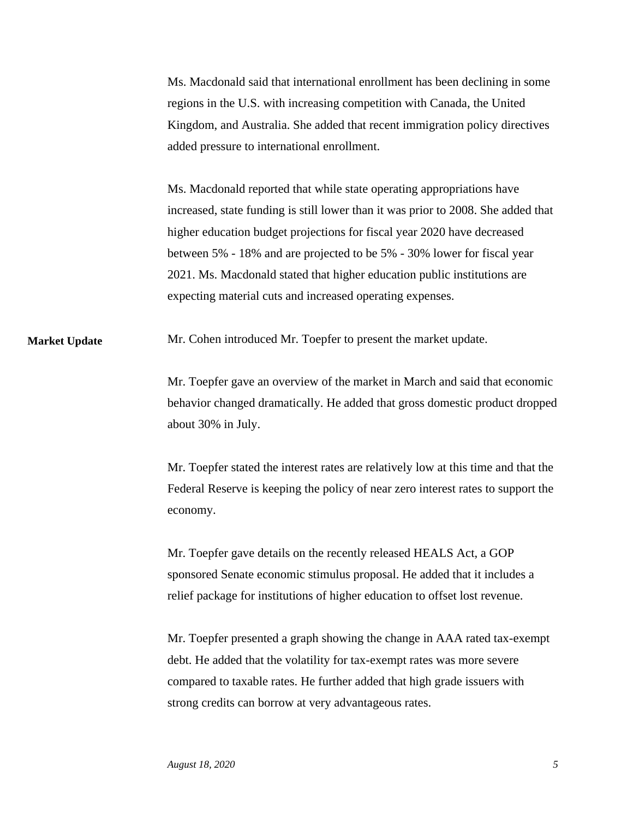Ms. Macdonald said that international enrollment has been declining in some regions in the U.S. with increasing competition with Canada, the United Kingdom, and Australia. She added that recent immigration policy directives added pressure to international enrollment.

Ms. Macdonald reported that while state operating appropriations have increased, state funding is still lower than it was prior to 2008. She added that higher education budget projections for fiscal year 2020 have decreased between 5% - 18% and are projected to be 5% - 30% lower for fiscal year 2021. Ms. Macdonald stated that higher education public institutions are expecting material cuts and increased operating expenses.

Mr. Cohen introduced Mr. Toepfer to present the market update. **Market Update**

> Mr. Toepfer gave an overview of the market in March and said that economic behavior changed dramatically. He added that gross domestic product dropped about 30% in July.

> Mr. Toepfer stated the interest rates are relatively low at this time and that the Federal Reserve is keeping the policy of near zero interest rates to support the economy.

Mr. Toepfer gave details on the recently released HEALS Act, a GOP sponsored Senate economic stimulus proposal. He added that it includes a relief package for institutions of higher education to offset lost revenue.

Mr. Toepfer presented a graph showing the change in AAA rated tax-exempt debt. He added that the volatility for tax-exempt rates was more severe compared to taxable rates. He further added that high grade issuers with strong credits can borrow at very advantageous rates.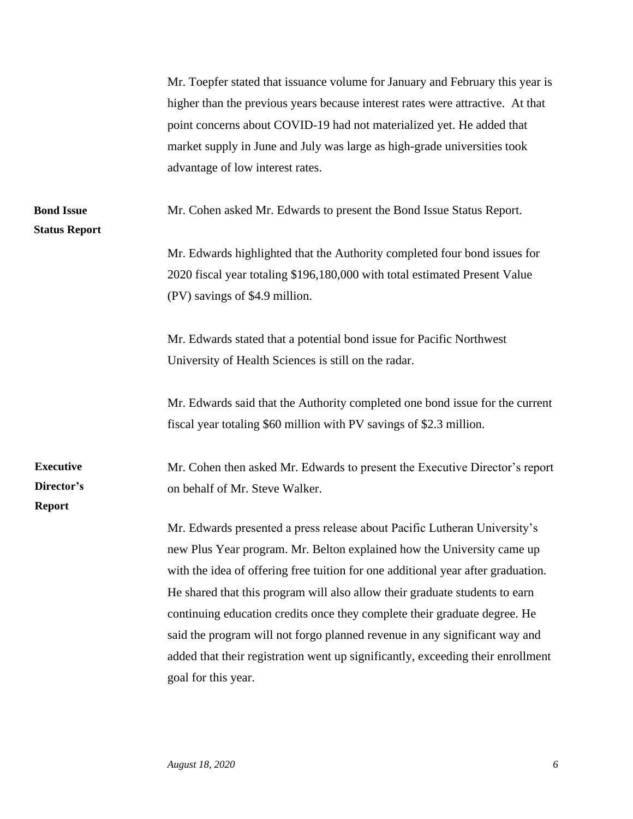| Mr. Toepfer stated that issuance volume for January and February this year is<br>higher than the previous years because interest rates were attractive. At that<br>point concerns about COVID-19 had not materialized yet. He added that<br>market supply in June and July was large as high-grade universities took<br>advantage of low interest rates.                                                                                                                                                                                                                                    |
|---------------------------------------------------------------------------------------------------------------------------------------------------------------------------------------------------------------------------------------------------------------------------------------------------------------------------------------------------------------------------------------------------------------------------------------------------------------------------------------------------------------------------------------------------------------------------------------------|
| Mr. Cohen asked Mr. Edwards to present the Bond Issue Status Report.                                                                                                                                                                                                                                                                                                                                                                                                                                                                                                                        |
| Mr. Edwards highlighted that the Authority completed four bond issues for<br>2020 fiscal year totaling \$196,180,000 with total estimated Present Value<br>(PV) savings of \$4.9 million.                                                                                                                                                                                                                                                                                                                                                                                                   |
| Mr. Edwards stated that a potential bond issue for Pacific Northwest<br>University of Health Sciences is still on the radar.                                                                                                                                                                                                                                                                                                                                                                                                                                                                |
| Mr. Edwards said that the Authority completed one bond issue for the current<br>fiscal year totaling \$60 million with PV savings of \$2.3 million.                                                                                                                                                                                                                                                                                                                                                                                                                                         |
| Mr. Cohen then asked Mr. Edwards to present the Executive Director's report<br>on behalf of Mr. Steve Walker.                                                                                                                                                                                                                                                                                                                                                                                                                                                                               |
| Mr. Edwards presented a press release about Pacific Lutheran University's<br>new Plus Year program. Mr. Belton explained how the University came up<br>with the idea of offering free tuition for one additional year after graduation.<br>He shared that this program will also allow their graduate students to earn<br>continuing education credits once they complete their graduate degree. He<br>said the program will not forgo planned revenue in any significant way and<br>added that their registration went up significantly, exceeding their enrollment<br>goal for this year. |
|                                                                                                                                                                                                                                                                                                                                                                                                                                                                                                                                                                                             |